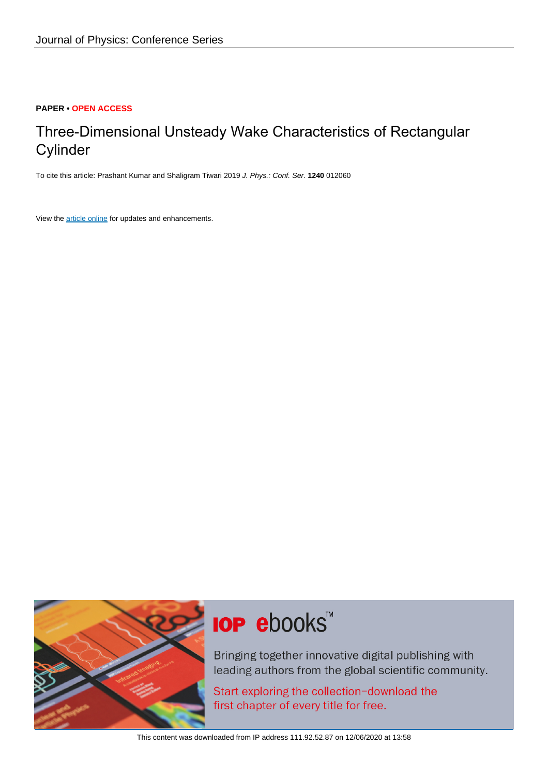#### **PAPER • OPEN ACCESS**

## Three-Dimensional Unsteady Wake Characteristics of Rectangular **Cylinder**

To cite this article: Prashant Kumar and Shaligram Tiwari 2019 J. Phys.: Conf. Ser. **1240** 012060

View the [article online](https://doi.org/10.1088/1742-6596/1240/1/012060) for updates and enhancements.



# **IOP ebooks**™

Bringing together innovative digital publishing with leading authors from the global scientific community.

Start exploring the collection-download the first chapter of every title for free.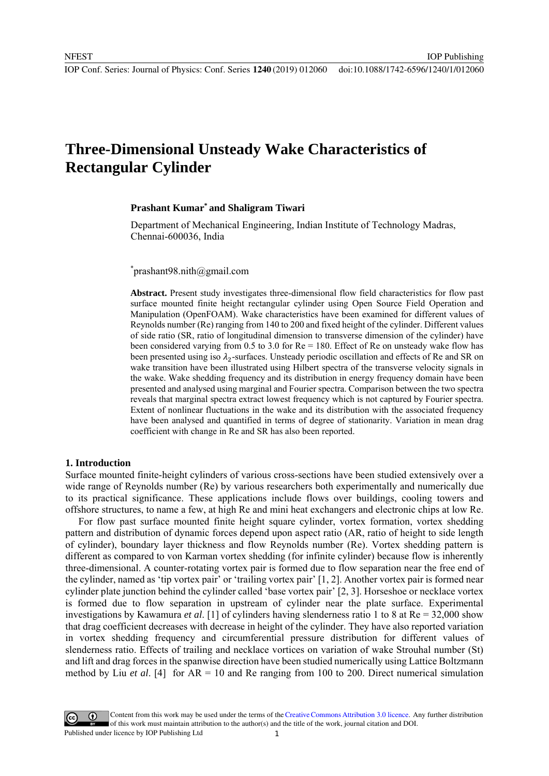IOP Publishing

## **Three-Dimensional Unsteady Wake Characteristics of Rectangular Cylinder**

#### **Prashant Kumar\* and Shaligram Tiwari**

Department of Mechanical Engineering, Indian Institute of Technology Madras, Chennai-600036, India

\* prashant98.nith@gmail.com

**Abstract.** Present study investigates three-dimensional flow field characteristics for flow past surface mounted finite height rectangular cylinder using Open Source Field Operation and Manipulation (OpenFOAM). Wake characteristics have been examined for different values of Reynolds number (Re) ranging from 140 to 200 and fixed height of the cylinder. Different values of side ratio (SR, ratio of longitudinal dimension to transverse dimension of the cylinder) have been considered varying from 0.5 to 3.0 for  $Re = 180$ . Effect of Re on unsteady wake flow has been presented using iso  $\lambda_2$ -surfaces. Unsteady periodic oscillation and effects of Re and SR on wake transition have been illustrated using Hilbert spectra of the transverse velocity signals in the wake. Wake shedding frequency and its distribution in energy frequency domain have been presented and analysed using marginal and Fourier spectra. Comparison between the two spectra reveals that marginal spectra extract lowest frequency which is not captured by Fourier spectra. Extent of nonlinear fluctuations in the wake and its distribution with the associated frequency have been analysed and quantified in terms of degree of stationarity. Variation in mean drag coefficient with change in Re and SR has also been reported.

#### **1. Introduction**

Surface mounted finite-height cylinders of various cross-sections have been studied extensively over a wide range of Reynolds number (Re) by various researchers both experimentally and numerically due to its practical significance. These applications include flows over buildings, cooling towers and offshore structures, to name a few, at high Re and mini heat exchangers and electronic chips at low Re.

For flow past surface mounted finite height square cylinder, vortex formation, vortex shedding pattern and distribution of dynamic forces depend upon aspect ratio (AR, ratio of height to side length of cylinder), boundary layer thickness and flow Reynolds number (Re). Vortex shedding pattern is different as compared to von Karman vortex shedding (for infinite cylinder) because flow is inherently three-dimensional. A counter-rotating vortex pair is formed due to flow separation near the free end of the cylinder, named as 'tip vortex pair' or 'trailing vortex pair' [1, 2]. Another vortex pair is formed near cylinder plate junction behind the cylinder called 'base vortex pair' [2, 3]. Horseshoe or necklace vortex is formed due to flow separation in upstream of cylinder near the plate surface. Experimental investigations by Kawamura *et al*. [1] of cylinders having slenderness ratio 1 to 8 at Re = 32,000 show that drag coefficient decreases with decrease in height of the cylinder. They have also reported variation in vortex shedding frequency and circumferential pressure distribution for different values of slenderness ratio. Effects of trailing and necklace vortices on variation of wake Strouhal number (St) and lift and drag forces in the spanwise direction have been studied numerically using Lattice Boltzmann method by Liu *et al*. [4] for AR = 10 and Re ranging from 100 to 200. Direct numerical simulation

Content from this work may be used under the terms of theCreative Commons Attribution 3.0 licence. Any further distribution of this work must maintain attribution to the author(s) and the title of the work, journal citation and DOI. Published under licence by IOP Publishing Ltd 1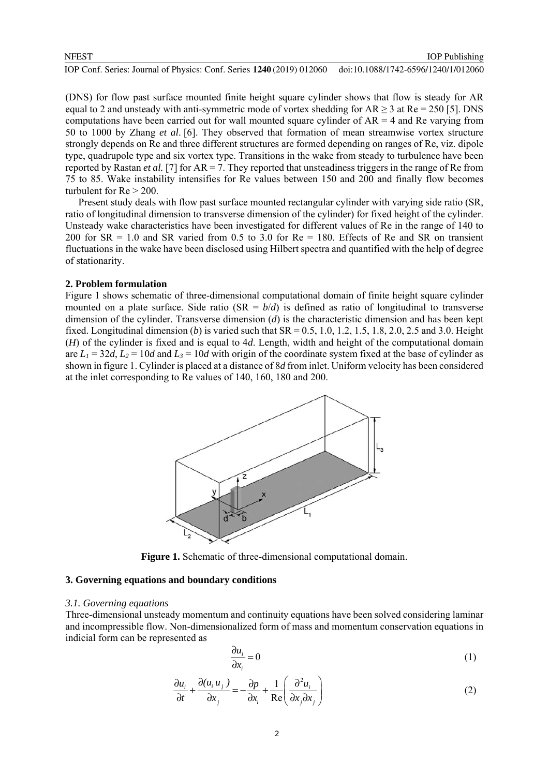(DNS) for flow past surface mounted finite height square cylinder shows that flow is steady for AR equal to 2 and unsteady with anti-symmetric mode of vortex shedding for  $AR \ge 3$  at  $Re = 250$  [5]. DNS computations have been carried out for wall mounted square cylinder of  $AR = 4$  and Re varying from

50 to 1000 by Zhang *et al*. [6]. They observed that formation of mean streamwise vortex structure strongly depends on Re and three different structures are formed depending on ranges of Re, viz. dipole type, quadrupole type and six vortex type. Transitions in the wake from steady to turbulence have been reported by Rastan *et al.* [7] for  $AR = 7$ . They reported that unsteadiness triggers in the range of Re from 75 to 85. Wake instability intensifies for Re values between 150 and 200 and finally flow becomes turbulent for  $Re > 200$ .

Present study deals with flow past surface mounted rectangular cylinder with varying side ratio (SR, ratio of longitudinal dimension to transverse dimension of the cylinder) for fixed height of the cylinder. Unsteady wake characteristics have been investigated for different values of Re in the range of 140 to 200 for  $SR = 1.0$  and  $SR$  varied from 0.5 to 3.0 for  $Re = 180$ . Effects of Re and SR on transient fluctuations in the wake have been disclosed using Hilbert spectra and quantified with the help of degree of stationarity.

#### **2. Problem formulation**

Figure 1 shows schematic of three-dimensional computational domain of finite height square cylinder mounted on a plate surface. Side ratio  $(SR = b/d)$  is defined as ratio of longitudinal to transverse dimension of the cylinder. Transverse dimension (*d*) is the characteristic dimension and has been kept fixed. Longitudinal dimension (*b*) is varied such that  $SR = 0.5, 1.0, 1.2, 1.5, 1.8, 2.0, 2.5$  and 3.0. Height (*H*) of the cylinder is fixed and is equal to 4*d*. Length, width and height of the computational domain are  $L_1 = 32d$ ,  $L_2 = 10d$  and  $L_3 = 10d$  with origin of the coordinate system fixed at the base of cylinder as shown in figure 1. Cylinder is placed at a distance of 8*d* from inlet. Uniform velocity has been considered at the inlet corresponding to Re values of 140, 160, 180 and 200.



**Figure 1.** Schematic of three-dimensional computational domain.

#### **3. Governing equations and boundary conditions**

#### *3.1. Governing equations*

Three-dimensional unsteady momentum and continuity equations have been solved considering laminar and incompressible flow. Non-dimensionalized form of mass and momentum conservation equations in indicial form can be represented as

$$
\frac{\partial u_i}{\partial x_i} = 0 \tag{1}
$$

$$
\frac{\partial u_i}{\partial t} + \frac{\partial (u_i u_j)}{\partial x_j} = -\frac{\partial p}{\partial x_i} + \frac{1}{\text{Re}} \left( \frac{\partial^2 u_i}{\partial x_j \partial x_j} \right)
$$
(2)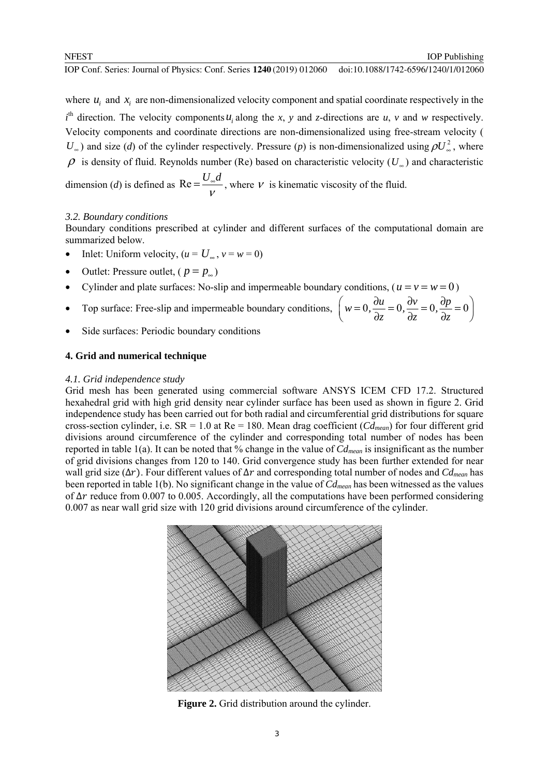IOP Publishing

where  $u_i$  and  $x_i$  are non-dimensionalized velocity component and spatial coordinate respectively in the  $i<sup>th</sup>$  direction. The velocity components  $u_i$  along the *x*, *y* and *z*-directions are *u*, *v* and *w* respectively. Velocity components and coordinate directions are non-dimensionalized using free-stream velocity (  $U_{\infty}$ ) and size (*d*) of the cylinder respectively. Pressure (*p*) is non-dimensionalized using  $\rho U_{\infty}^2$ , where  $\rho$  is density of fluid. Reynolds number (Re) based on characteristic velocity ( $U_{\infty}$ ) and characteristic dimension (*d*) is defined as  $\text{Re} = \frac{U_{\infty}d}{V}$ , where *v* is kinematic viscosity of the fluid.

### *3.2. Boundary conditions*

Boundary conditions prescribed at cylinder and different surfaces of the computational domain are summarized below.

- Inlet: Uniform velocity,  $(u = U_{\infty}, v = w = 0)$
- Outlet: Pressure outlet, ( $p = p_{\infty}$ )
- Cylinder and plate surfaces: No-slip and impermeable boundary conditions, ( $u = v = w = 0$ )
- Top surface: Free-slip and impermeable boundary conditions,  $w = 0$ ,  $\frac{\partial u}{\partial y} = 0$ ,  $\frac{\partial v}{\partial y} = 0$ ,  $\frac{\partial p}{\partial y} = 0$  $\left(w=0, \frac{\partial u}{\partial z}=0, \frac{\partial v}{\partial z}=0, \frac{\partial p}{\partial z}=0\right)$
- Side surfaces: Periodic boundary conditions

### **4. Grid and numerical technique**

#### *4.1. Grid independence study*

Grid mesh has been generated using commercial software ANSYS ICEM CFD 17.2. Structured hexahedral grid with high grid density near cylinder surface has been used as shown in figure 2. Grid independence study has been carried out for both radial and circumferential grid distributions for square cross-section cylinder, i.e. SR = 1.0 at Re = 180. Mean drag coefficient (*Cdmean*) for four different grid divisions around circumference of the cylinder and corresponding total number of nodes has been reported in table 1(a). It can be noted that % change in the value of *Cdmean* is insignificant as the number of grid divisions changes from 120 to 140. Grid convergence study has been further extended for near wall grid size (∆ݎ(. Four different values of ∆ݎ and corresponding total number of nodes and *Cdmean* has been reported in table 1(b). No significant change in the value of *Cdmean* has been witnessed as the values of ∆ݎ reduce from 0.007 to 0.005. Accordingly, all the computations have been performed considering 0.007 as near wall grid size with 120 grid divisions around circumference of the cylinder.

![](_page_3_Figure_13.jpeg)

**Figure 2.** Grid distribution around the cylinder.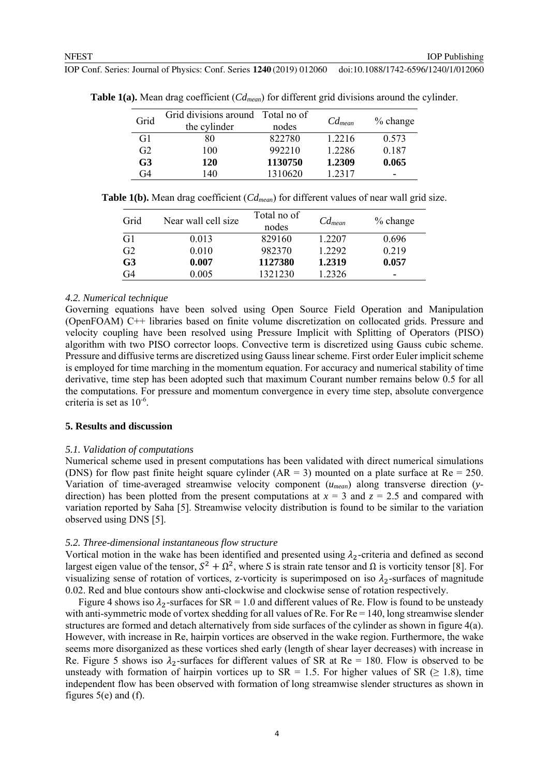| Grid           | Grid divisions around Total no of |         | $Cd_{mean}$ | $%$ change |
|----------------|-----------------------------------|---------|-------------|------------|
|                | the cylinder                      | nodes   |             |            |
| G1             | 80                                | 822780  | 1.2216      | 0.573      |
| G <sub>2</sub> | 100                               | 992210  | 1.2286      | 0.187      |
| G <sub>3</sub> | 120                               | 1130750 | 1.2309      | 0.065      |
| G4             | 140                               | 1310620 | 1 2317      |            |
|                |                                   |         |             |            |

**Table 1(a).** Mean drag coefficient (*Cdmean*) for different grid divisions around the cylinder.

**Table 1(b).** Mean drag coefficient (*Cdmean*) for different values of near wall grid size.

| Grid           | Near wall cell size | Total no of<br>nodes | $Cd_{mean}$ | $%$ change |
|----------------|---------------------|----------------------|-------------|------------|
| G1             | 0.013               | 829160               | 1.2207      | 0.696      |
| G <sub>2</sub> | 0.010               | 982370               | 1.2292      | 0.219      |
| G <sub>3</sub> | 0.007               | 1127380              | 1.2319      | 0.057      |
| G4             | 0.005               | 1321230              | 1.2326      |            |

#### *4.2. Numerical technique*

Governing equations have been solved using Open Source Field Operation and Manipulation (OpenFOAM) C++ libraries based on finite volume discretization on collocated grids. Pressure and velocity coupling have been resolved using Pressure Implicit with Splitting of Operators (PISO) algorithm with two PISO corrector loops. Convective term is discretized using Gauss cubic scheme. Pressure and diffusive terms are discretized using Gauss linear scheme. First order Euler implicit scheme is employed for time marching in the momentum equation. For accuracy and numerical stability of time derivative, time step has been adopted such that maximum Courant number remains below 0.5 for all the computations. For pressure and momentum convergence in every time step, absolute convergence criteria is set as 10-6.

#### **5. Results and discussion**

#### *5.1. Validation of computations*

Numerical scheme used in present computations has been validated with direct numerical simulations (DNS) for flow past finite height square cylinder (AR = 3) mounted on a plate surface at Re = 250. Variation of time-averaged streamwise velocity component (*umean*) along transverse direction (*y*direction) has been plotted from the present computations at  $x = 3$  and  $z = 2.5$  and compared with variation reported by Saha [5]. Streamwise velocity distribution is found to be similar to the variation observed using DNS [5].

#### *5.2. Three-dimensional instantaneous flow structure*

Vortical motion in the wake has been identified and presented using  $\lambda_2$ -criteria and defined as second largest eigen value of the tensor,  $S^2 + \Omega^2$ , where *S* is strain rate tensor and  $\Omega$  is vorticity tensor [8]. For visualizing sense of rotation of vortices, z-vorticity is superimposed on iso  $\lambda_2$ -surfaces of magnitude 0.02. Red and blue contours show anti-clockwise and clockwise sense of rotation respectively.

Figure 4 shows iso  $\lambda_2$ -surfaces for SR = 1.0 and different values of Re. Flow is found to be unsteady with anti-symmetric mode of vortex shedding for all values of Re. For Re = 140, long streamwise slender structures are formed and detach alternatively from side surfaces of the cylinder as shown in figure 4(a). However, with increase in Re, hairpin vortices are observed in the wake region. Furthermore, the wake seems more disorganized as these vortices shed early (length of shear layer decreases) with increase in Re. Figure 5 shows iso  $\lambda_2$ -surfaces for different values of SR at Re = 180. Flow is observed to be unsteady with formation of hairpin vortices up to  $SR = 1.5$ . For higher values of  $SR \geq 1.8$ ), time independent flow has been observed with formation of long streamwise slender structures as shown in figures  $5(e)$  and  $(f)$ .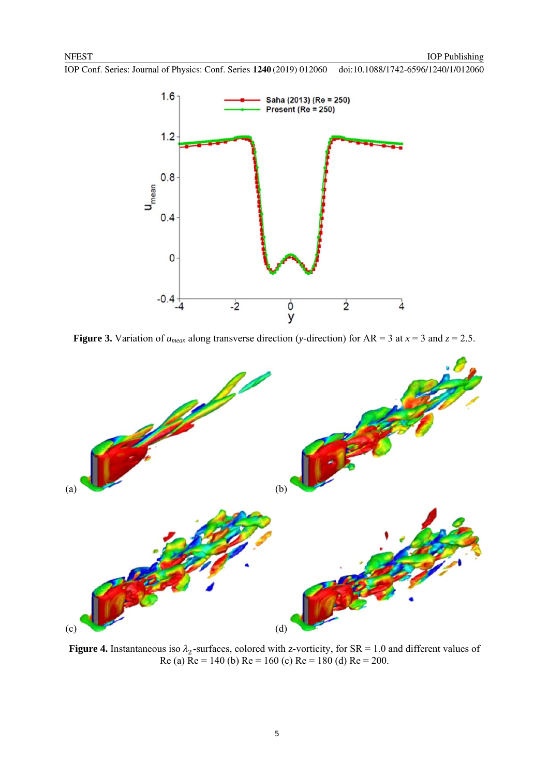![](_page_5_Figure_3.jpeg)

**Figure 3.** Variation of  $u_{mean}$  along transverse direction (*y*-direction) for  $AR = 3$  at  $x = 3$  and  $z = 2.5$ .

![](_page_5_Figure_5.jpeg)

**Figure 4.** Instantaneous iso  $\lambda_2$ -surfaces, colored with z-vorticity, for SR = 1.0 and different values of Re (a) Re = 140 (b) Re = 160 (c) Re = 180 (d) Re = 200.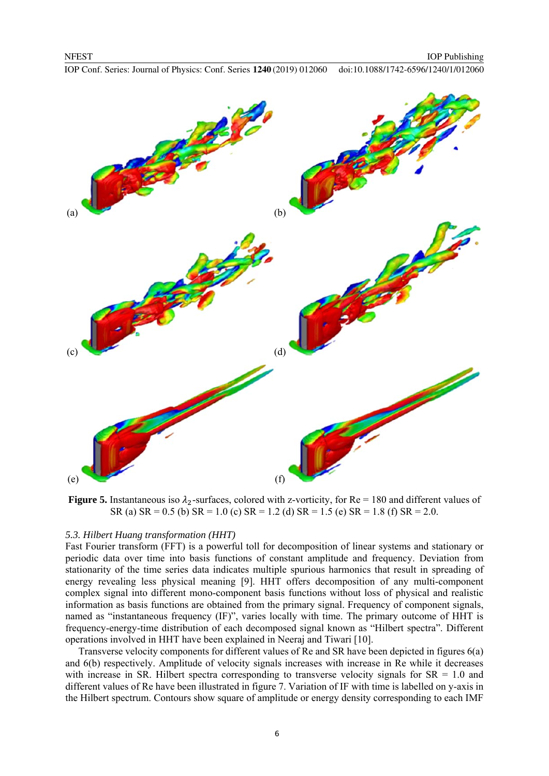![](_page_6_Figure_3.jpeg)

**Figure 5.** Instantaneous iso  $\lambda_2$ -surfaces, colored with z-vorticity, for Re = 180 and different values of SR (a) SR = 0.5 (b) SR = 1.0 (c) SR = 1.2 (d) SR = 1.5 (e) SR = 1.8 (f) SR = 2.0.

#### *5.3. Hilbert Huang transformation (HHT)*

Fast Fourier transform (FFT) is a powerful toll for decomposition of linear systems and stationary or periodic data over time into basis functions of constant amplitude and frequency. Deviation from stationarity of the time series data indicates multiple spurious harmonics that result in spreading of energy revealing less physical meaning [9]. HHT offers decomposition of any multi-component complex signal into different mono-component basis functions without loss of physical and realistic information as basis functions are obtained from the primary signal. Frequency of component signals, named as "instantaneous frequency (IF)", varies locally with time. The primary outcome of HHT is frequency-energy-time distribution of each decomposed signal known as "Hilbert spectra". Different operations involved in HHT have been explained in Neeraj and Tiwari [10].

Transverse velocity components for different values of Re and SR have been depicted in figures 6(a) and 6(b) respectively. Amplitude of velocity signals increases with increase in Re while it decreases with increase in SR. Hilbert spectra corresponding to transverse velocity signals for  $SR = 1.0$  and different values of Re have been illustrated in figure 7. Variation of IF with time is labelled on y-axis in the Hilbert spectrum. Contours show square of amplitude or energy density corresponding to each IMF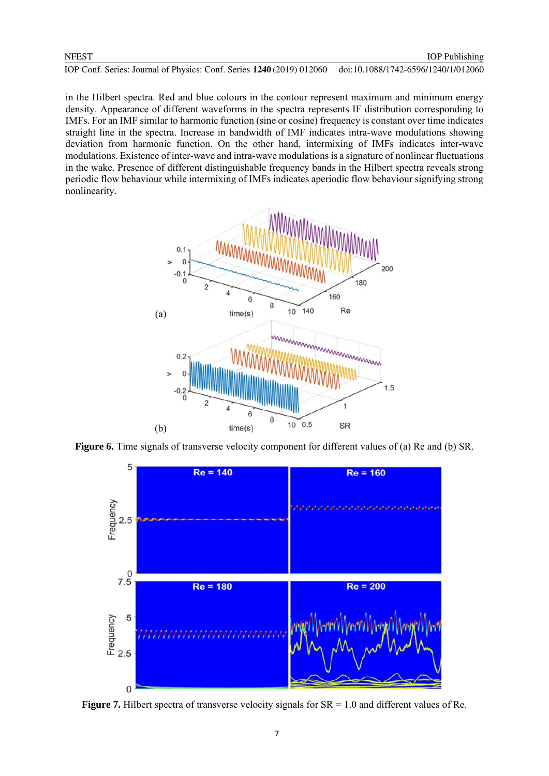#### **NFEST**

IOP Conf. Series: Journal of Physics: Conf. Series **1240** (2019) 012060 doi:10.1088/1742-6596/1240/1/012060

in the Hilbert spectra. Red and blue colours in the contour represent maximum and minimum energy density. Appearance of different waveforms in the spectra represents IF distribution corresponding to IMFs. For an IMF similar to harmonic function (sine or cosine) frequency is constant over time indicates straight line in the spectra. Increase in bandwidth of IMF indicates intra-wave modulations showing deviation from harmonic function. On the other hand, intermixing of IMFs indicates inter-wave modulations. Existence of inter-wave and intra-wave modulations is a signature of nonlinear fluctuations in the wake. Presence of different distinguishable frequency bands in the Hilbert spectra reveals strong periodic flow behaviour while intermixing of IMFs indicates aperiodic flow behaviour signifying strong nonlinearity.

![](_page_7_Figure_4.jpeg)

**Figure 6.** Time signals of transverse velocity component for different values of (a) Re and (b) SR.

![](_page_7_Figure_6.jpeg)

**Figure 7.** Hilbert spectra of transverse velocity signals for  $SR = 1.0$  and different values of Re.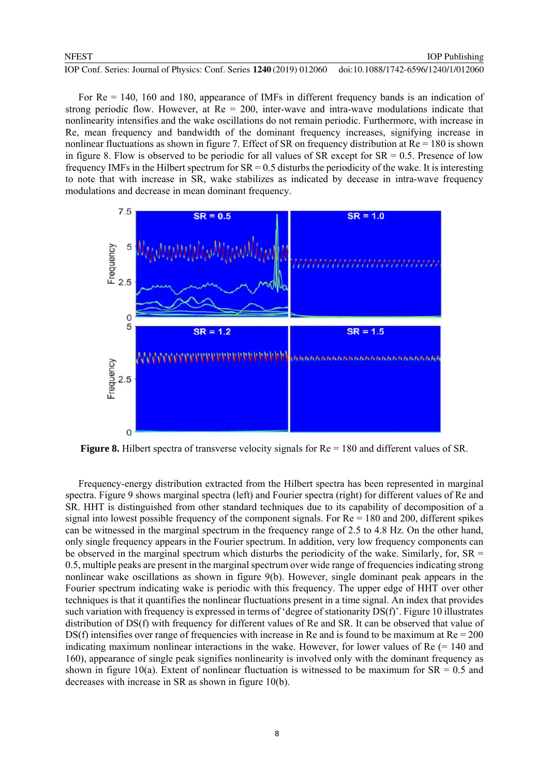For Re = 140, 160 and 180, appearance of IMFs in different frequency bands is an indication of strong periodic flow. However, at  $Re = 200$ , inter-wave and intra-wave modulations indicate that nonlinearity intensifies and the wake oscillations do not remain periodic. Furthermore, with increase in Re, mean frequency and bandwidth of the dominant frequency increases, signifying increase in nonlinear fluctuations as shown in figure 7. Effect of SR on frequency distribution at Re = 180 is shown in figure 8. Flow is observed to be periodic for all values of  $SR$  except for  $SR = 0.5$ . Presence of low frequency IMFs in the Hilbert spectrum for  $SR = 0.5$  disturbs the periodicity of the wake. It is interesting to note that with increase in SR, wake stabilizes as indicated by decease in intra-wave frequency modulations and decrease in mean dominant frequency.

![](_page_8_Figure_3.jpeg)

**Figure 8.** Hilbert spectra of transverse velocity signals for  $Re = 180$  and different values of SR.

Frequency-energy distribution extracted from the Hilbert spectra has been represented in marginal spectra. Figure 9 shows marginal spectra (left) and Fourier spectra (right) for different values of Re and SR. HHT is distinguished from other standard techniques due to its capability of decomposition of a signal into lowest possible frequency of the component signals. For Re = 180 and 200, different spikes can be witnessed in the marginal spectrum in the frequency range of 2.5 to 4.8 Hz. On the other hand, only single frequency appears in the Fourier spectrum. In addition, very low frequency components can be observed in the marginal spectrum which disturbs the periodicity of the wake. Similarly, for,  $SR =$ 0.5, multiple peaks are present in the marginal spectrum over wide range of frequencies indicating strong nonlinear wake oscillations as shown in figure 9(b). However, single dominant peak appears in the Fourier spectrum indicating wake is periodic with this frequency. The upper edge of HHT over other techniques is that it quantifies the nonlinear fluctuations present in a time signal. An index that provides such variation with frequency is expressed in terms of 'degree of stationarity DS(f)'. Figure 10 illustrates distribution of DS(f) with frequency for different values of Re and SR. It can be observed that value of DS(f) intensifies over range of frequencies with increase in Re and is found to be maximum at  $Re = 200$ indicating maximum nonlinear interactions in the wake. However, for lower values of  $Re$  (= 140 and 160), appearance of single peak signifies nonlinearity is involved only with the dominant frequency as shown in figure 10(a). Extent of nonlinear fluctuation is witnessed to be maximum for  $SR = 0.5$  and decreases with increase in SR as shown in figure 10(b).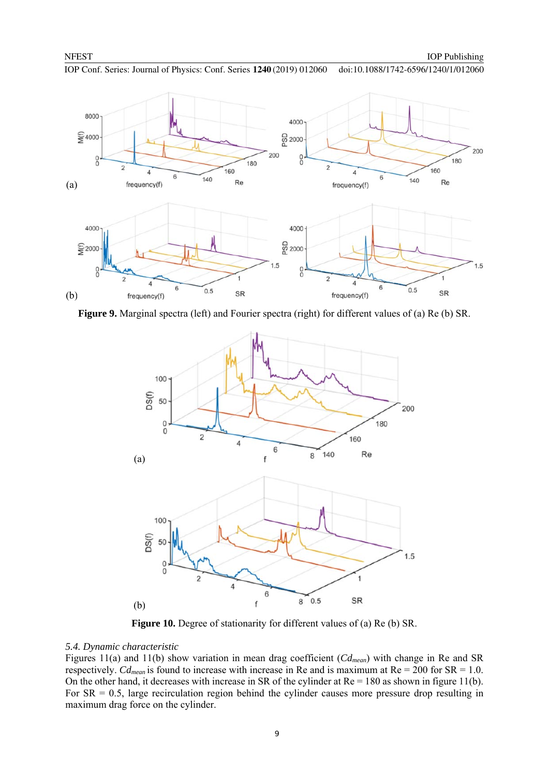![](_page_9_Figure_3.jpeg)

**Figure 9.** Marginal spectra (left) and Fourier spectra (right) for different values of (a) Re (b) SR.

![](_page_9_Figure_5.jpeg)

**Figure 10.** Degree of stationarity for different values of (a) Re (b) SR.

#### *5.4. Dynamic characteristic*

Figures 11(a) and 11(b) show variation in mean drag coefficient (*Cdmean*) with change in Re and SR respectively. *Cd<sub>mean</sub>* is found to increase with increase in Re and is maximum at  $Re = 200$  for  $SR = 1.0$ . On the other hand, it decreases with increase in SR of the cylinder at  $Re = 180$  as shown in figure 11(b). For  $SR = 0.5$ , large recirculation region behind the cylinder causes more pressure drop resulting in maximum drag force on the cylinder.